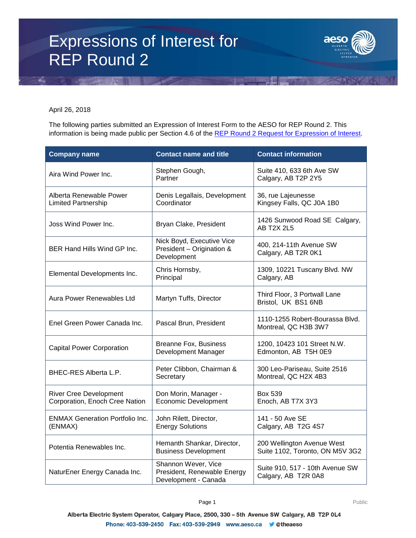## Expressions of Interest for REP Round 2



April 26, 2018

The following parties submitted an Expression of Interest Form to the AESO for REP Round 2. This information is being made public per Section 4.6 of the [REP Round 2 Request for Expression of Interest.](https://www.aeso.ca/assets/Uploads/REP-Round-2-REOI-Final.pdf)

| <b>Company name</b>                                             | <b>Contact name and title</b>                                              | <b>Contact information</b>                                    |
|-----------------------------------------------------------------|----------------------------------------------------------------------------|---------------------------------------------------------------|
| Aira Wind Power Inc.                                            | Stephen Gough,<br>Partner                                                  | Suite 410, 633 6th Ave SW<br>Calgary, AB T2P 2Y5              |
| Alberta Renewable Power<br><b>Limited Partnership</b>           | Denis Legallais, Development<br>Coordinator                                | 36, rue Lajeunesse<br>Kingsey Falls, QC J0A 1B0               |
| Joss Wind Power Inc.                                            | Bryan Clake, President                                                     | 1426 Sunwood Road SE Calgary,<br><b>AB T2X 2L5</b>            |
| <b>BER Hand Hills Wind GP Inc.</b>                              | Nick Boyd, Executive Vice<br>President - Origination &<br>Development      | 400, 214-11th Avenue SW<br>Calgary, AB T2R 0K1                |
| Elemental Developments Inc.                                     | Chris Hornsby,<br>Principal                                                | 1309, 10221 Tuscany Blvd. NW<br>Calgary, AB                   |
| Aura Power Renewables Ltd                                       | Martyn Tuffs, Director                                                     | Third Floor, 3 Portwall Lane<br>Bristol, UK BS1 6NB           |
| Enel Green Power Canada Inc.                                    | Pascal Brun, President                                                     | 1110-1255 Robert-Bourassa Blvd.<br>Montreal, QC H3B 3W7       |
| <b>Capital Power Corporation</b>                                | <b>Breanne Fox, Business</b><br>Development Manager                        | 1200, 10423 101 Street N.W.<br>Edmonton, AB T5H 0E9           |
| BHEC-RES Alberta L.P.                                           | Peter Clibbon, Chairman &<br>Secretary                                     | 300 Leo-Pariseau, Suite 2516<br>Montreal, QC H2X 4B3          |
| <b>River Cree Development</b><br>Corporation, Enoch Cree Nation | Don Morin, Manager -<br><b>Economic Development</b>                        | Box 539<br>Enoch, AB T7X 3Y3                                  |
| <b>ENMAX Generation Portfolio Inc.</b><br>(ENMAX)               | John Rilett, Director,<br><b>Energy Solutions</b>                          | 141 - 50 Ave SE<br>Calgary, AB T2G 4S7                        |
| Potentia Renewables Inc.                                        | Hemanth Shankar, Director,<br><b>Business Development</b>                  | 200 Wellington Avenue West<br>Suite 1102, Toronto, ON M5V 3G2 |
| NaturEner Energy Canada Inc.                                    | Shannon Wever, Vice<br>President, Renewable Energy<br>Development - Canada | Suite 910, 517 - 10th Avenue SW<br>Calgary, AB T2R 0A8        |

Alberta Electric System Operator, Calgary Place, 2500, 330 - 5th Avenue SW Calgary, AB T2P 0L4 Phone: 403-539-2450 Fax: 403-539-2949 www.aeso.ca ● @theaeso